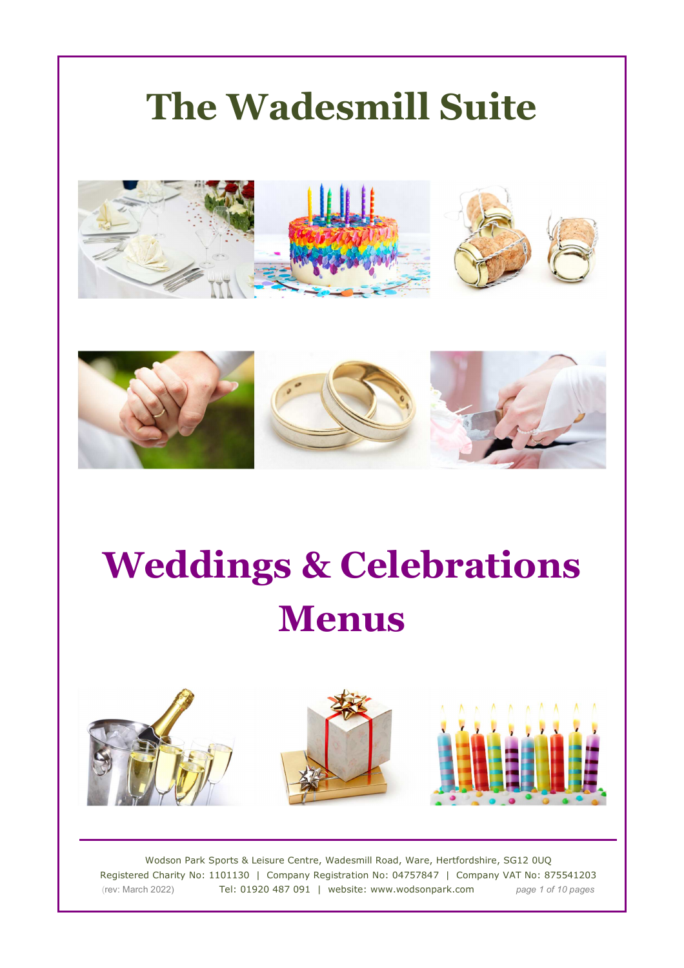





Wodson Park Sports & Leisure Centre, Wadesmill Road, Ware, Hertfordshire, SG12 0UQ Registered Charity No: 1101130 | Company Registration No: 04757847 | Company VAT No: 875541203 (rev: March 2022) Tel: 01920 487 091 | website: www.wodsonpark.com *page 1 of 10 pages*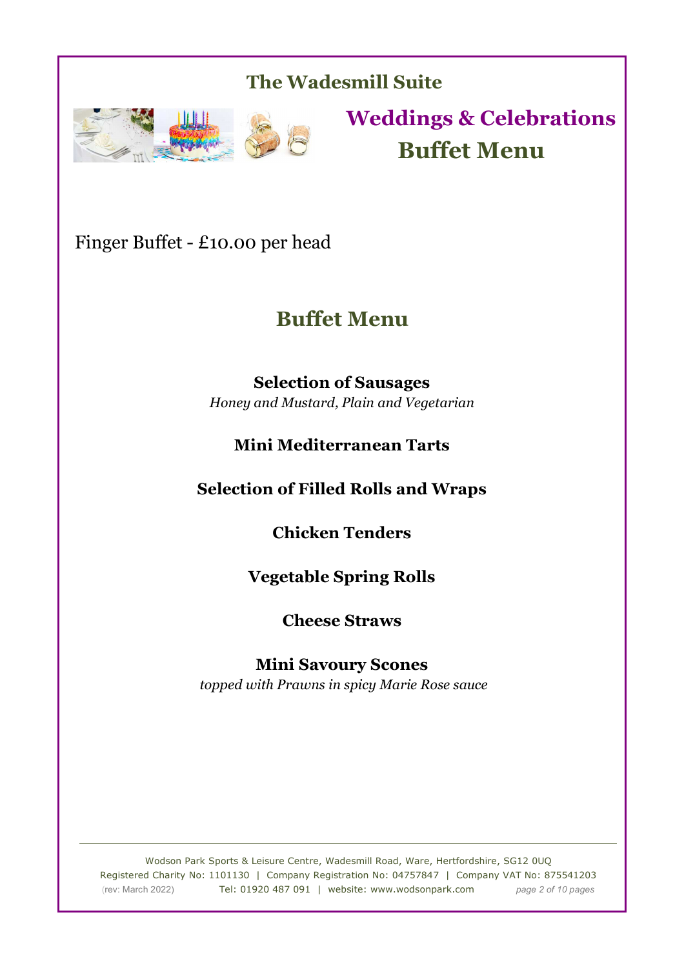

**Weddings & Celebrations Buffet Menu**

Finger Buffet - £10.00 per head

# **Buffet Menu**

**Selection of Sausages**  *Honey and Mustard, Plain and Vegetarian* 

### **Mini Mediterranean Tarts**

**Selection of Filled Rolls and Wraps** 

**Chicken Tenders** 

**Vegetable Spring Rolls** 

**Cheese Straws** 

**Mini Savoury Scones**   *topped with Prawns in spicy Marie Rose sauce* 

Wodson Park Sports & Leisure Centre, Wadesmill Road, Ware, Hertfordshire, SG12 0UQ Registered Charity No: 1101130 | Company Registration No: 04757847 | Company VAT No: 875541203 (rev: March 2022) Tel: 01920 487 091 | website: www.wodsonpark.com *page 2 of 10 pages*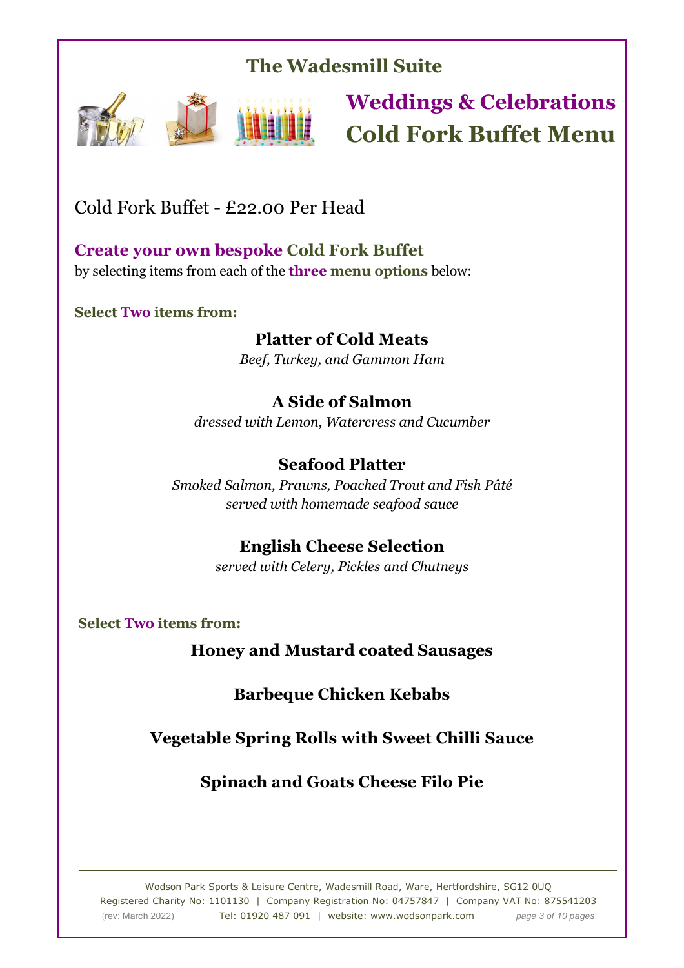

# **Weddings & Celebrations Cold Fork Buffet Menu**

Cold Fork Buffet - £22.00 Per Head

**Create your own bespoke Cold Fork Buffet** by selecting items from each of the **three menu options** below:

**Select Two items from:** 

### **Platter of Cold Meats**

*Beef, Turkey, and Gammon Ham*

### **A Side of Salmon**

*dressed with Lemon, Watercress and Cucumber*

### **Seafood Platter**

*Smoked Salmon, Prawns, Poached Trout and Fish Pâté served with homemade seafood sauce*

### **English Cheese Selection**

*served with Celery, Pickles and Chutneys*

**Select Two items from:**

**Honey and Mustard coated Sausages** 

**Barbeque Chicken Kebabs** 

**Vegetable Spring Rolls with Sweet Chilli Sauce** 

**Spinach and Goats Cheese Filo Pie**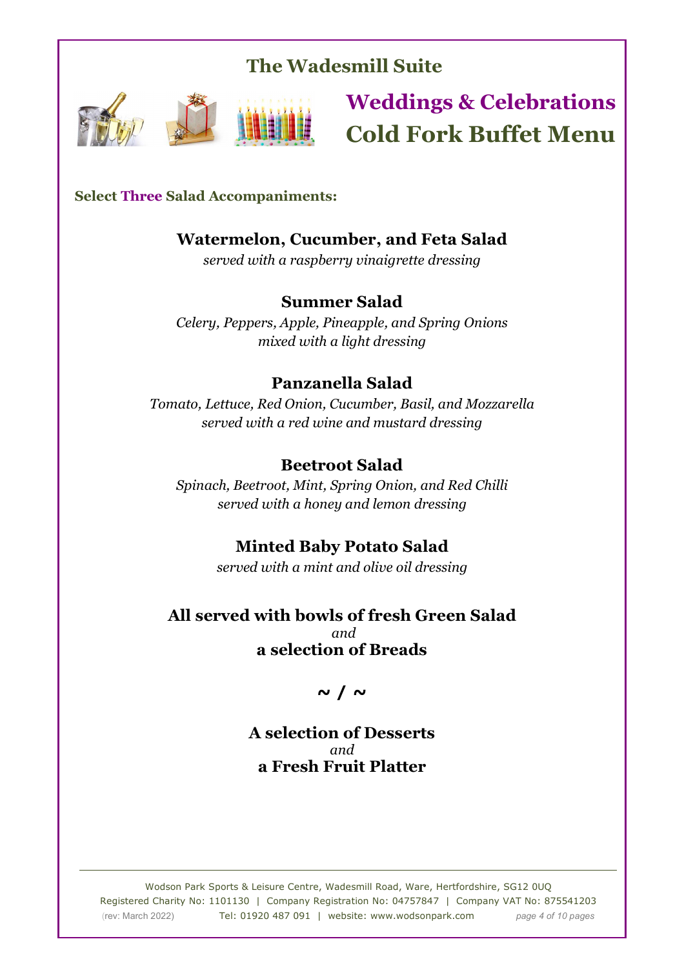

# **Weddings & Celebrations Cold Fork Buffet Menu**

#### **Select Three Salad Accompaniments:**

### **Watermelon, Cucumber, and Feta Salad**

*served with a raspberry vinaigrette dressing* 

#### **Summer Salad**

*Celery, Peppers, Apple, Pineapple, and Spring Onions mixed with a light dressing*

#### **Panzanella Salad**

*Tomato, Lettuce, Red Onion, Cucumber, Basil, and Mozzarella served with a red wine and mustard dressing*

#### **Beetroot Salad**

*Spinach, Beetroot, Mint, Spring Onion, and Red Chilli served with a honey and lemon dressing*

### **Minted Baby Potato Salad**

*served with a mint and olive oil dressing*

#### **All served with bowls of fresh Green Salad**  *and*  **a selection of Breads**

**~ / ~**

**A selection of Desserts**  *and* **a Fresh Fruit Platter**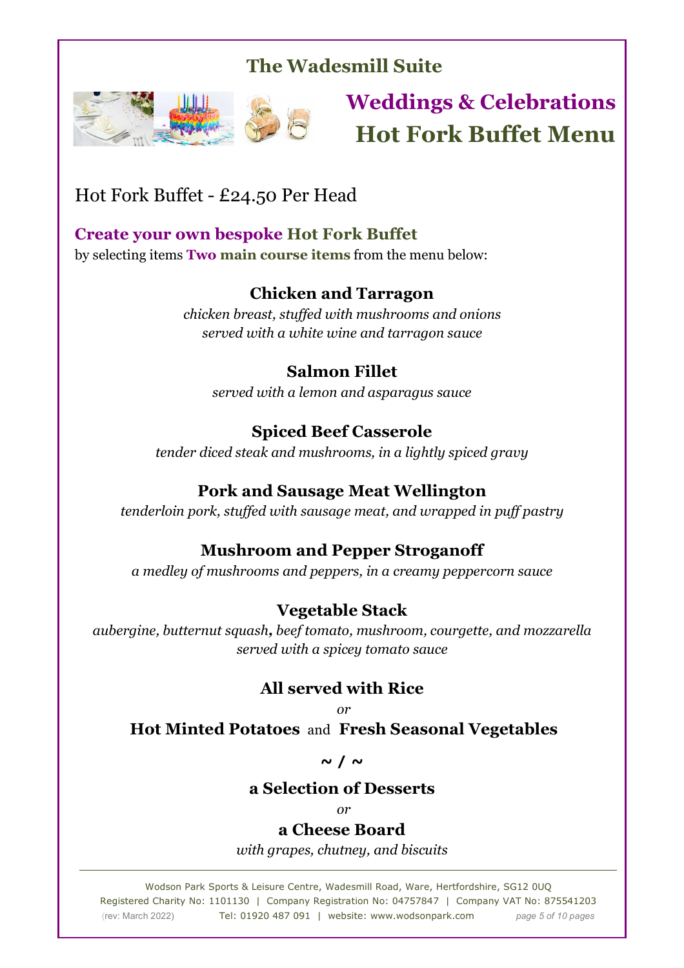

# **Weddings & Celebrations Hot Fork Buffet Menu**

# Hot Fork Buffet - £24.50 Per Head

### **Create your own bespoke Hot Fork Buffet**

by selecting items **Two main course items** from the menu below:

### **Chicken and Tarragon**

*chicken breast, stuffed with mushrooms and onions served with a white wine and tarragon sauce*

### **Salmon Fillet**

*served with a lemon and asparagus sauce* 

### **Spiced Beef Casserole**

*tender diced steak and mushrooms, in a lightly spiced gravy* 

### **Pork and Sausage Meat Wellington**

*tenderloin pork, stuffed with sausage meat, and wrapped in puff pastry*

### **Mushroom and Pepper Stroganoff**

*a medley of mushrooms and peppers, in a creamy peppercorn sauce* 

## **Vegetable Stack**

*aubergine, butternut squash, beef tomato, mushroom, courgette, and mozzarella served with a spicey tomato sauce*

### **All served with Rice**

 $or$ 

 **Hot Minted Potatoes** and **Fresh Seasonal Vegetables** 

**~ / ~** 

### **a Selection of Desserts**

 $or$ 

### **a Cheese Board**

*with grapes, chutney, and biscuits*

Wodson Park Sports & Leisure Centre, Wadesmill Road, Ware, Hertfordshire, SG12 0UQ Registered Charity No: 1101130 | Company Registration No: 04757847 | Company VAT No: 875541203 (rev: March 2022) Tel: 01920 487 091 | website: www.wodsonpark.com *page 5 of 10 pages*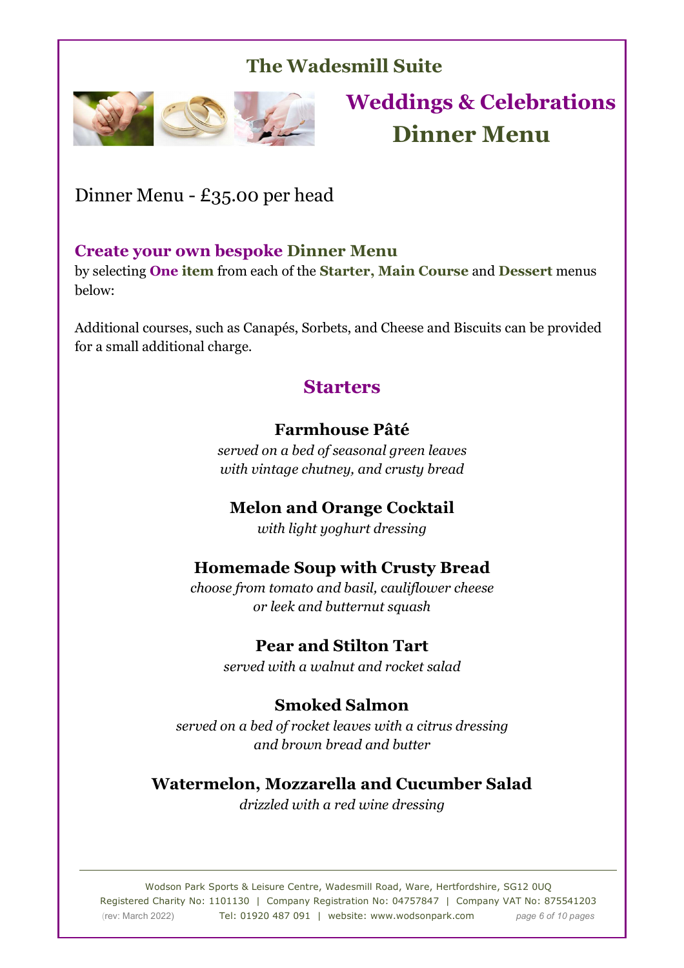

# **Weddings & Celebrations Dinner Menu**

Dinner Menu - £35.00 per head

### **Create your own bespoke Dinner Menu**

by selecting **One item** from each of the **Starter, Main Course** and **Dessert** menus below:

Additional courses, such as Canapés, Sorbets, and Cheese and Biscuits can be provided for a small additional charge.

## **Starters**

#### **Farmhouse Pâté**

*served on a bed of seasonal green leaves with vintage chutney, and crusty bread* 

### **Melon and Orange Cocktail**

*with light yoghurt dressing* 

### **Homemade Soup with Crusty Bread**

*choose from tomato and basil, cauliflower cheese or leek and butternut squash* 

### **Pear and Stilton Tart**

*served with a walnut and rocket salad* 

### **Smoked Salmon**

*served on a bed of rocket leaves with a citrus dressing and brown bread and butter* 

### **Watermelon, Mozzarella and Cucumber Salad**

*drizzled with a red wine dressing* 

Wodson Park Sports & Leisure Centre, Wadesmill Road, Ware, Hertfordshire, SG12 0UQ Registered Charity No: 1101130 | Company Registration No: 04757847 | Company VAT No: 875541203 (rev: March 2022) Tel: 01920 487 091 | website: www.wodsonpark.com *page 6 of 10 pages*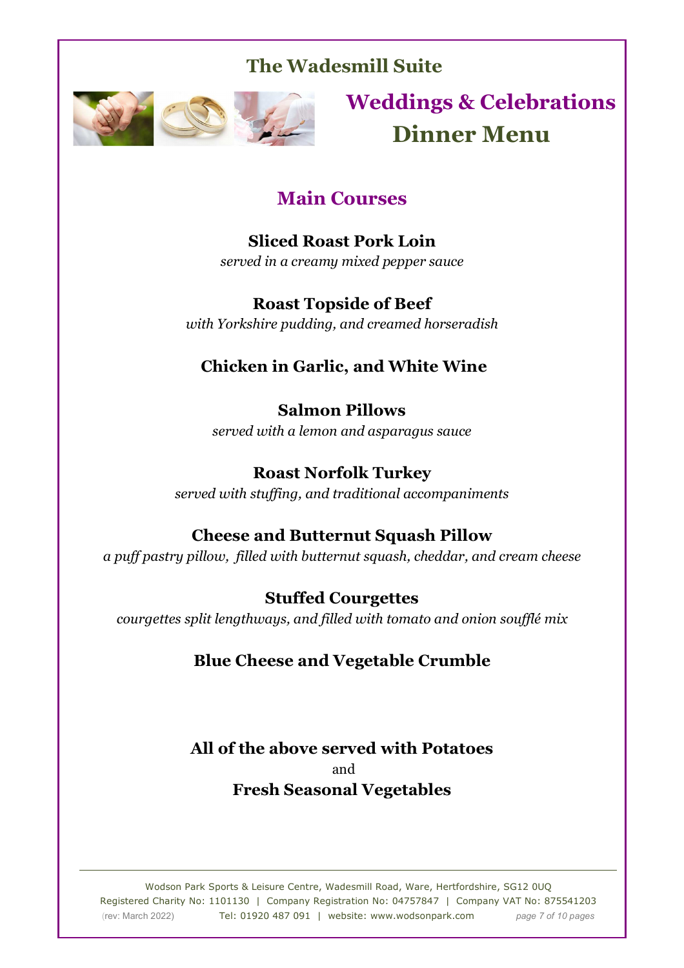

**Weddings & Celebrations Dinner Menu**

## **Main Courses**

**Sliced Roast Pork Loin**  *served in a creamy mixed pepper sauce* 

**Roast Topside of Beef**  *with Yorkshire pudding, and creamed horseradish* 

## **Chicken in Garlic, and White Wine**

**Salmon Pillows**  *served with a lemon and asparagus sauce* 

**Roast Norfolk Turkey**  *served with stuffing, and traditional accompaniments* 

## **Cheese and Butternut Squash Pillow**

*a puff pastry pillow, filled with butternut squash, cheddar, and cream cheese* 

**Stuffed Courgettes**  *courgettes split lengthways, and filled with tomato and onion soufflé mix* 

## **Blue Cheese and Vegetable Crumble**

**All of the above served with Potatoes**  and **Fresh Seasonal Vegetables**

Wodson Park Sports & Leisure Centre, Wadesmill Road, Ware, Hertfordshire, SG12 0UQ Registered Charity No: 1101130 | Company Registration No: 04757847 | Company VAT No: 875541203 (rev: March 2022) Tel: 01920 487 091 | website: www.wodsonpark.com *page 7 of 10 pages*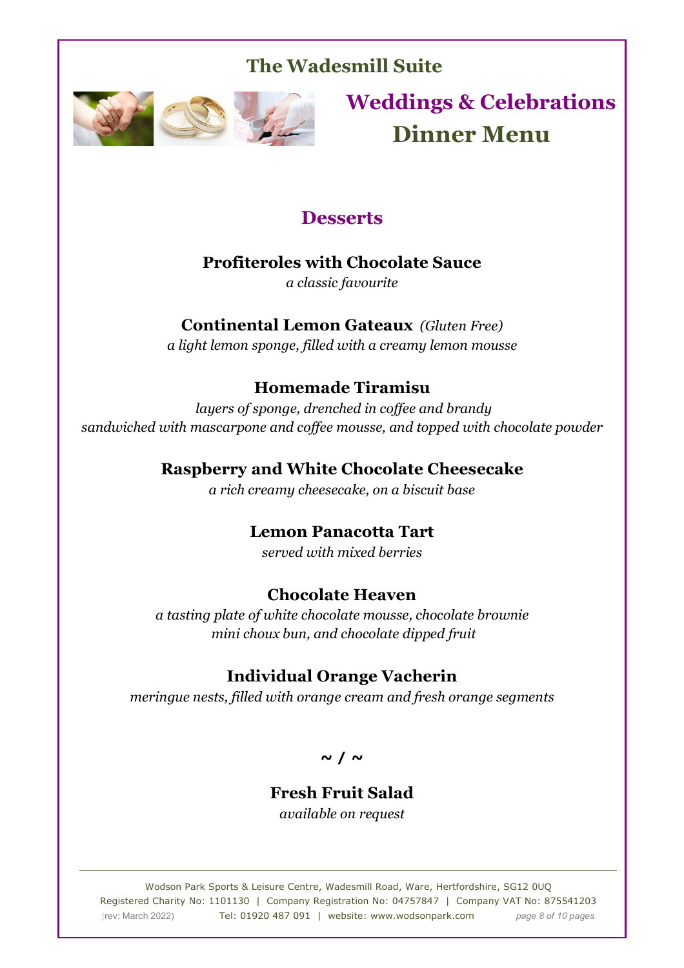

**Weddings & Celebrations Dinner Menu**

## **Desserts**

### **Profiteroles with Chocolate Sauce**

*a classic favourite* 

## **Continental Lemon Gateaux** *(Gluten Free)*

*a light lemon sponge, filled with a creamy lemon mousse* 

### **Homemade Tiramisu**

 *layers of sponge, drenched in coffee and brandy sandwiched with mascarpone and coffee mousse, and topped with chocolate powder* 

### **Raspberry and White Chocolate Cheesecake**

*a rich creamy cheesecake, on a biscuit base* 

### **Lemon Panacotta Tart**

*served with mixed berries* 

### **Chocolate Heaven**

*a tasting plate of white chocolate mousse, chocolate brownie mini choux bun, and chocolate dipped fruit* 

### **Individual Orange Vacherin**

*meringue nests, filled with orange cream and fresh orange segments* 

**~ / ~** 

# **Fresh Fruit Salad**

*available on request* 

Wodson Park Sports & Leisure Centre, Wadesmill Road, Ware, Hertfordshire, SG12 0UQ Registered Charity No: 1101130 | Company Registration No: 04757847 | Company VAT No: 875541203 (rev: March 2022) Tel: 01920 487 091 | website: www.wodsonpark.com *page 8 of 10 pages*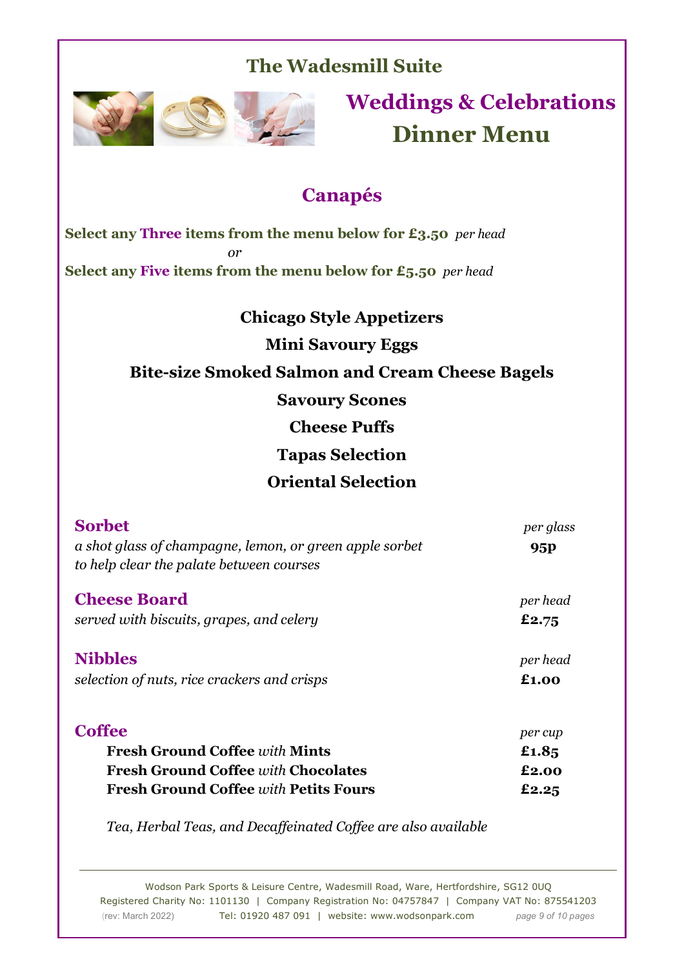

# **Weddings & Celebrations Dinner Menu**

## **Canapés**

**Select any Three items from the menu below for £3.50** *per head or* **Select any Five items from the menu below for £5.50** *per head*

> **Chicago Style Appetizers Mini Savoury Eggs Bite-size Smoked Salmon and Cream Cheese Bagels Savoury Scones Cheese Puffs Tapas Selection Oriental Selection**

| <b>Sorbet</b>                                           | per glass |
|---------------------------------------------------------|-----------|
| a shot glass of champagne, lemon, or green apple sorbet | 95P       |
| to help clear the palate between courses                |           |
| <b>Cheese Board</b>                                     | per head  |
| served with biscuits, grapes, and celery                | £2.75     |
| <b>Nibbles</b>                                          | per head  |
| selection of nuts, rice crackers and crisps             | £1.00     |
| <b>Coffee</b>                                           | per cup   |
| <b>Fresh Ground Coffee with Mints</b>                   | £1.85     |
| <b>Fresh Ground Coffee with Chocolates</b>              | £2.00     |
| <b>Fresh Ground Coffee with Petits Fours</b>            | £2.25     |

*Tea, Herbal Teas, and Decaffeinated Coffee are also available* 

Wodson Park Sports & Leisure Centre, Wadesmill Road, Ware, Hertfordshire, SG12 0UQ Registered Charity No: 1101130 | Company Registration No: 04757847 | Company VAT No: 875541203 (rev: March 2022) Tel: 01920 487 091 | website: www.wodsonpark.com *page 9 of 10 pages*